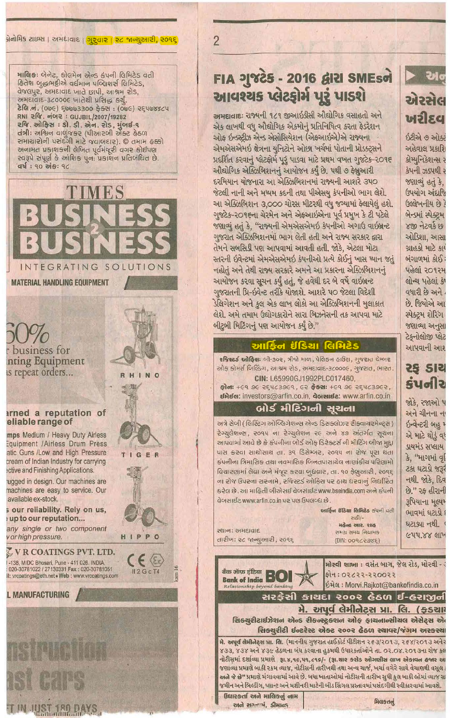એરસેલ ખરીદવ

हरीએ ७ ઓस्ट्रे અહેવાલ પ્રકાશિ કોમ્યનિકેશન્સ ર કેપની ઝડપથી ર જશાવ્યું હતું કે. ઉપયોગ અંદાજિ ઉલ્લેખનીય છે? બેન્ડમાં સ્પેક્ટમ ४२० नेटवर्ड छ ઓડિશા, આસા ગ્રાહકો માટે કાર બંગાળમાં કોઈ: પહેલાં ૨૦૧૨મ લોન્ચ પહેલાં કે વધારી છે અને. છે. જિયોએ આ સ્પેક્ટમ શેરિંગ જશાવ્યા અનુસા टेइनोલोજી प्લेट આપવાની આશ

# २६ ऽ।य sydla

જોકે. રજાઓ પ અને ચીનના ન र्छन्वेन्टरी अड़ એ માટે થોડે વધ ડાયમંડ સપ્લાય કે, "માગમાં વૃ टक्ष घटाडो कड़र નથી જોકે, દિવ છે." રક હીરાની ३પિયાના મૂલ્યમ ભાવમાં ઘટાડો ઘટાડ્યા નથી **GUY.88 GIV** 

# FIA 21825 - 2016 GIRI SMEsol આવશ્યક પ્લેટફોર્મ પૂરૂં પાડશે

 $\overline{2}$ 

અમદ્યવાદ: રાજ્યની ૧૮૧ જીઆઇડીસી ઔદ્યોગિક વસાહતો અને એક લાખથી વધુ ઔદ્યોગિક એકમોનું પ્રતિનિધિત્વ કરતા ફેડરેશન ઓફ ઇન્ડસ્ટ્રીઝ એન્ડ એસોસિયેશન (એફઆઇએ)એ રાજ્યના એમએસએમઇ ક્ષેત્રના યુનિટોને ઓછા ખર્ચમાં પોતાની પ્રોડક્ટ્સને પ્રદર્શિત કરવાનું પ્લેટફોર્મ પૂરું પાડવા માટે પ્રથમ વખત ગુજટેક-૨૦૧૬ ઓઘોગિક એક્ઝિબિશનનું આયોજન કર્યું છે. પથી ૭ કેબ્રુઆરી દરમિયાન યોજનારા આ એક્ઝિબિશનમાં રાજ્યની આશરે ૩૫૦ જેટલી નાની અને મધ્યમ કદની તથા પીએસય કંપનીઓ ભાગ લેશે. આ એક્ઝિબિશન 3,000 ચોરસ મીટરથી વધુ જગ્યામાં કેલાયેલું હશે. ગુજટેક-૨૦૧૬ના ચેરમેન અને એફઆઇએના પૂર્વ પ્રમુખ કે ટી પટેલે જશાવ્યું હતું કે, "રાજ્યની એમએસએમઇ કંપનીઓ અગાઉ વાઇબ્રન્ટ ગુજરાત એક્ઝિબિશનમાં ભાગ લેતી હતી અને રાજ્ય સરકાર દ્વારા તેમને સબસિડી પણ આપવામાં આવતી હતી. જોકે, એટલા મોટા સ્તરની ઇવેન્ટમાં એમએસએમઇ કંપનીઓ પ્રત્યે કોઈનું ખાસ ધ્યાન જતું નહોતું અને તેથી રાજ્ય સરકારે અમને આ પ્રકારના એક્ઝિબિશનનું આયોજન કરવા સૂચન કર્યું હતું, જે હવેથી દર બે વર્ષે વાઈબ્રન્ટ ગુજરાતની પ્રિ-ઇવેન્ટ તરીકે યોજાશે. આશરે ૫૦ જેટલા વિદેશી ડેલિગેશન અને કુલ એક લાખ લોકો આ એક્ઝિબિશનની મુલાકાત લેશે. અમે તમામ ઉદ્યોગકારોને સારા બિઝનેસની તક આપવા માટે બીટબી મિટિંગનું પણ આયોજન કર્યું છે."

# આર્કિન ઇંડિયા લિમિટેડ

રજિસ્ટર્ડ ઓફિસઃ બી-30૨, ત્રીજો માળ, પેલિકન હાઉસ, ગુજરાત રોમ્બર ઓફ કોમર્સ બિલ્ડિંગ, આશ્રમ રોડ, અમદાવાદ-3૮૦૦૦૯, ગુજરાત, ભારત. CIN: L65990GJ1992PLC017460.

कीन: +69 96 २९५८३९६१, 6२ ईड्स: +69 96 २९५८३९६२, ย์ผิย์ต: investors@arfin.co.in, dorauย์a: www.arfin.co.in

## બોર્ડ મીટિંગની સૂચના

અત્રે સેબી ( લિસ્ટિંગ ઓબ્લિગેશન્સ એન્ડ ડિસક્લોઝર રીક્વાયરમેન્ટ્સ ) रेग्युसेशक्स, २०१५ ना रेग्युसेशन २६ अने ४९ अंतर्गत सूचना આપવામાં આવે છે કે કંપનીના બોર્ડ ઓફ ડિરેક્ટર્સ ની મીટિંગ બીજા મુદ્દા पास કરવા સાથોસાથ તા. 39 ડિસેમ્બર, ૨૦૧૫ ના રોજ પૂરા થતા કંપનીના ગિમાસિક તથા નવમાસિક બિનતપાસાચેલ નાણાંકીચ પરિણામો વિચારણામાં લેવા અને મંજૂર કરવા બૂધવાર, તા. ૧૦ ફેબ્રુઆરી, ૨૦૧૬ ના રોજ ઉપરના સરનામે, રજિસ્ટર્ડ ઓફિસ પર હાથ ધરવાનું નિર્ધારિત કરેલ છે. આ માહિતી બીએસઈ વેબસાઈટ www.bseindia.com અને કંપની વેબસાઈટ www.arfin.co.in પર પણ ઉપલબ્ધ છે.

> **આર્કિન ઈંડિયા લિમિટેડ** કંપની વતી 권하/-मढेन्द्र आर. शाढ સમગ્ર સમય નિયામક

> > $(DIN:OO9CRS)$

२थानः रमभहावाह તારીખ: ૨૮ જાન્યુઆરી, ૨૦૧૬

ब्रेनोमिड टाઇम्स । અમદાવાદ <sub>।</sub> <mark>ગુરવાર । २८ જાન્યુઆરી, २०१९</mark>

भावि<del>ङ</del>: जेनेट, डोसभेन એन्ड इंपनी सिभिटेड वती हितेश जुद्धाभट्टीએ वर्धभान पज्विशर्स विभिटेड, वेक्सपुर, अमद्यादाह जाते छापी, आश्रम रोड, अभधवाद-3८०००६ जातेथी प्रसिद्ध डर्यु. टेलि.नं. (066) ६७७७3300 ईस्टा : (066) २६५७४४८५ RNI 29. नंजर: GUJBIL/2007/19282 રજિ. ઓકિસ: ડો. ડી. એન. રોડ, મુંબઈ-૧ तंत्री: अश्विन वार्णुषडर (पीआरजी सेडर ढेठण સમાચારોની પસંદગી માટે જવાબદાર). © તમામ હક્કો અનામત પ્રકાશકની લેખિત પૂર્વમંજૂરી વગર કોઈપણ રવરૂપે સંપૂર્ણ કે આશિક પૂન: પ્રકાશન પ્રતિબંધિત છે.  $49 : 90 295 : 96$ 



**MATERIAL HANDLING EQUIPMENT** 

business for nting Equipment is repeat orders...

 $\mathbf{r}$ 

HIPPO

## arned a reputation of eliable range of

mps Medium / Heavy Duty Airless Equipment / Airless Drum Press atic Guns /Low and High Pressure cream of Indian Industry for carrying ective and Finishing Applications

ugged in design. Our machines are machines are easy to service. Our available ex-stock.

s our reliability. Rely on us, up to our reputation...

any single or two component v or high pressure.